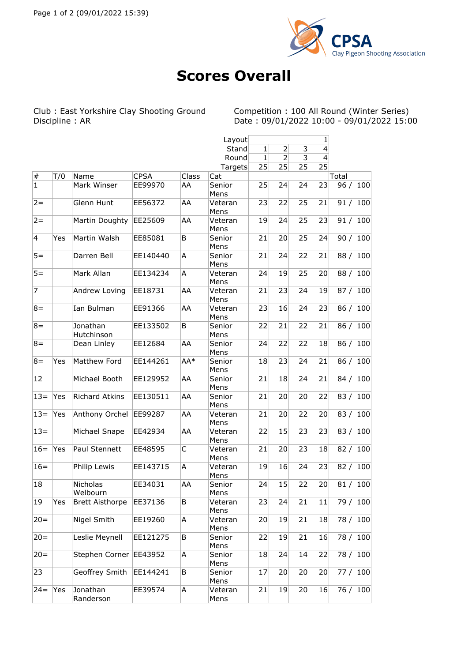

## **Scores Overall**

Club : East Yorkshire Clay Shooting Ground Competition : 100 All Round (Winter Series) Discipline : AR Date : 09/01/2022 10:00 - 09/01/2022 15:00

|                 |     |                        |             |       | Layout          | 1            |                |    |    |            |
|-----------------|-----|------------------------|-------------|-------|-----------------|--------------|----------------|----|----|------------|
|                 |     |                        |             |       | Stand           | $\mathbf{1}$ | $\overline{2}$ | 3  | 4  |            |
|                 |     |                        |             |       | Round           | $\mathbf{1}$ | 2              | 3  | 4  |            |
|                 |     |                        |             |       | Targets         | 25           | 25             | 25 | 25 |            |
| $\vert \#$      | T/0 | Name                   | <b>CPSA</b> | Class | Cat             |              |                |    |    | Total      |
| $\vert$ 1       |     | Mark Winser            | EE99970     | AA    | Senior          | 25           | 24             | 24 | 23 | 96 / 100   |
|                 |     |                        |             |       | Mens            |              |                |    |    |            |
| $2=$            |     | Glenn Hunt             | EE56372     | AA    | Veteran<br>Mens | 23           | 22             | 25 | 21 | 91 / 100   |
| $2=$            |     | Martin Doughty         | EE25609     | AA    | Veteran<br>Mens | 19           | 24             | 25 | 23 | 91 / 100   |
| $\vert 4 \vert$ | Yes | Martin Walsh           | EE85081     | B     | Senior<br>Mens  | 21           | 20             | 25 | 24 | 90 / 100   |
| $5 =$           |     | Darren Bell            | EE140440    | А     | Senior<br>Mens  | 21           | 24             | 22 | 21 | 88 / 100   |
| $5 =$           |     | Mark Allan             | EE134234    | A     | Veteran<br>Mens | 24           | 19             | 25 | 20 | 88 / 100   |
| $\overline{7}$  |     | Andrew Loving          | EE18731     | AA    | Veteran<br>Mens | 21           | 23             | 24 | 19 | 87 / 100   |
| $8 =$           |     | Ian Bulman             | EE91366     | AA    | Veteran<br>Mens | 23           | 16             | 24 | 23 | 86 / 100   |
| $8 =$           |     | Jonathan<br>Hutchinson | EE133502    | B     | Senior<br>Mens  | 22           | 21             | 22 | 21 | 86 / 100   |
| $8 =$           |     | Dean Linley            | EE12684     | AA    | Senior<br>Mens  | 24           | 22             | 22 | 18 | 86 / 100   |
| $8 =$           | Yes | Matthew Ford           | EE144261    | AA*   | Senior<br>Mens  | 18           | 23             | 24 | 21 | 86 / 100   |
| 12              |     | Michael Booth          | EE129952    | AA    | Senior<br>Mens  | 21           | 18             | 24 | 21 | 84 / 100   |
| $13=$           | Yes | <b>Richard Atkins</b>  | EE130511    | AA    | Senior<br>Mens  | 21           | 20             | 20 | 22 | 83 / 100   |
| $13 =$          | Yes | Anthony Orchel         | EE99287     | AA    | Veteran<br>Mens | 21           | 20             | 22 | 20 | 83 / 100   |
| $13=$           |     | Michael Snape          | EE42934     | AA    | Veteran<br>Mens | 22           | 15             | 23 | 23 | 83 / 100   |
| $16=$           | Yes | Paul Stennett          | EE48595     | C     | Veteran<br>Mens | 21           | 20             | 23 | 18 | 82 / 100   |
| $16=$           |     | Philip Lewis           | EE143715    | A     | Veteran<br>Mens | 19           | 16             | 24 | 23 | 82 / 100   |
| 18              |     | Nicholas<br>Welbourn   | EE34031     | AA    | Senior<br>Mens  | 24           | 15             | 22 | 20 | 81/<br>100 |
| 19              | Yes | <b>Brett Aisthorpe</b> | EE37136     | В     | Veteran<br>Mens | 23           | 24             | 21 | 11 | 79 / 100   |
| $ 20=$          |     | Nigel Smith            | EE19260     | А     | Veteran<br>Mens | 20           | 19             | 21 | 18 | 78 / 100   |
| $20 =$          |     | Leslie Meynell         | EE121275    | В     | Senior<br>Mens  | 22           | 19             | 21 | 16 | 78 / 100   |
| $20 =$          |     | Stephen Corner EE43952 |             | А     | Senior<br>Mens  | 18           | 24             | 14 | 22 | 78 / 100   |
| 23              |     | Geoffrey Smith         | EE144241    | В     | Senior<br>Mens  | 17           | 20             | 20 | 20 | 77 / 100   |
| $24 =$          | Yes | Jonathan<br>Randerson  | EE39574     | А     | Veteran<br>Mens | 21           | 19             | 20 | 16 | 76 / 100   |